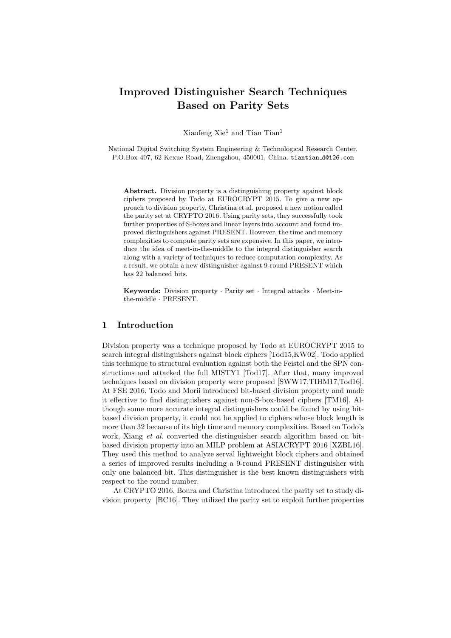# **Improved Distinguisher Search Techniques Based on Parity Sets**

Xiaofeng Xie<sup>1</sup> and Tian Tian<sup>1</sup>

National Digital Switching System Engineering & Technological Research Center, P.O.Box 407, 62 Kexue Road, Zhengzhou, 450001, China. tiantian d@126.com

**Abstract.** Division property is a distinguishing property against block ciphers proposed by Todo at EUROCRYPT 2015. To give a new approach to division property, Christina et al. proposed a new notion called the parity set at CRYPTO 2016. Using parity sets, they successfully took further properties of S-boxes and linear layers into account and found improved distinguishers against PRESENT. However, the time and memory complexities to compute parity sets are expensive. In this paper, we introduce the idea of meet-in-the-middle to the integral distinguisher search along with a variety of techniques to reduce computation complexity. As a result, we obtain a new distinguisher against 9-round PRESENT which has 22 balanced bits.

**Keywords:** Division property *·* Parity set *·* Integral attacks *·* Meet-inthe-middle *·* PRESENT.

## **1 Introduction**

Division property was a technique proposed by Todo at EUROCRYPT 2015 to search integral distinguishers against block ciphers [Tod15,KW02]. Todo applied this technique to structural evaluation against both the Feistel and the SPN constructions and attacked the full MISTY1 [Tod17]. After that, many improved techniques based on division property were proposed [SWW17,TIHM17,Tod16]. At FSE 2016, Todo and Morii introduced bit-based division property and made it effective to find distinguishers against non-S-box-based ciphers [TM16]. Although some more accurate integral distinguishers could be found by using bitbased division property, it could not be applied to ciphers whose block length is more than 32 because of its high time and memory complexities. Based on Todo's work, Xiang *et al.* converted the distinguisher search algorithm based on bitbased division property into an MILP problem at ASIACRYPT 2016 [XZBL16]. They used this method to analyze serval lightweight block ciphers and obtained a series of improved results including a 9-round PRESENT distinguisher with only one balanced bit. This distinguisher is the best known distinguishers with respect to the round number.

At CRYPTO 2016, Boura and Christina introduced the parity set to study division property [BC16]. They utilized the parity set to exploit further properties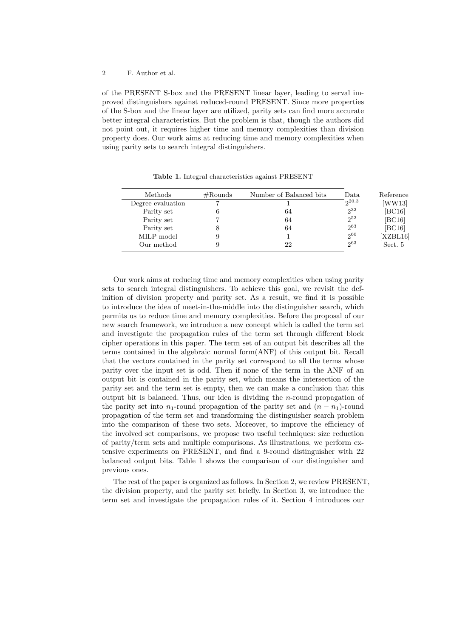of the PRESENT S-box and the PRESENT linear layer, leading to serval improved distinguishers against reduced-round PRESENT. Since more properties of the S-box and the linear layer are utilized, parity sets can find more accurate better integral characteristics. But the problem is that, though the authors did not point out, it requires higher time and memory complexities than division property does. Our work aims at reducing time and memory complexities when using parity sets to search integral distinguishers.

| Methods           | $\#\text{Rounds}$ | Number of Balanced bits | Data       | Reference |
|-------------------|-------------------|-------------------------|------------|-----------|
| Degree evaluation |                   |                         | $2^{20.3}$ | WW13      |
| Parity set        |                   | 64                      | $2^{32}$   | [BC16]    |
| Parity set        |                   | 64                      | $2^{52}$   | [BC16]    |
| Parity set        |                   | 64                      | $2^{63}$   | [BC16]    |
| MILP model        |                   |                         | $2^{60}$   | [XZBL16]  |
| Our method        |                   | 22                      | $2^{63}$   | Sect. 5   |
|                   |                   |                         |            |           |

**Table 1.** Integral characteristics against PRESENT

Our work aims at reducing time and memory complexities when using parity sets to search integral distinguishers. To achieve this goal, we revisit the definition of division property and parity set. As a result, we find it is possible to introduce the idea of meet-in-the-middle into the distinguisher search, which permits us to reduce time and memory complexities. Before the proposal of our new search framework, we introduce a new concept which is called the term set and investigate the propagation rules of the term set through different block cipher operations in this paper. The term set of an output bit describes all the terms contained in the algebraic normal form(ANF) of this output bit. Recall that the vectors contained in the parity set correspond to all the terms whose parity over the input set is odd. Then if none of the term in the ANF of an output bit is contained in the parity set, which means the intersection of the parity set and the term set is empty, then we can make a conclusion that this output bit is balanced. Thus, our idea is dividing the *n*-round propagation of the parity set into  $n_1$ -round propagation of the parity set and  $(n - n_1)$ -round propagation of the term set and transforming the distinguisher search problem into the comparison of these two sets. Moreover, to improve the efficiency of the involved set comparisons, we propose two useful techniques: size reduction of parity/term sets and multiple comparisons. As illustrations, we perform extensive experiments on PRESENT, and find a 9-round distinguisher with 22 balanced output bits. Table 1 shows the comparison of our distinguisher and previous ones.

The rest of the paper is organized as follows. In Section 2, we review PRESENT, the division property, and the parity set briefly. In Section 3, we introduce the term set and investigate the propagation rules of it. Section 4 introduces our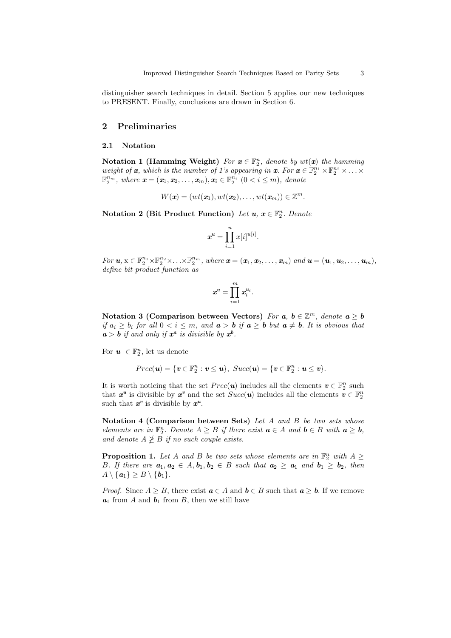distinguisher search techniques in detail. Section 5 applies our new techniques to PRESENT. Finally, conclusions are drawn in Section 6.

## **2 Preliminaries**

#### **2.1 Notation**

**Notation 1 (Hamming Weight)** For  $x \in \mathbb{F}_2^n$ , denote by  $wt(x)$  the hamming *weight of x*, which is the number of 1's appearing in *x*. For  $\mathbf{x} \in \mathbb{F}_2^{n_1} \times \mathbb{F}_2^{n_2} \times \ldots \times$  $\mathbb{F}_2^{n_m}$ , where  $\mathbf{x} = (\mathbf{x}_1, \mathbf{x}_2, \dots, \mathbf{x}_m), \mathbf{x}_i \in \mathbb{F}_2^{n_i} \ (0 \lt i \leq m)$ , denote

$$
W(\mathbf{x})=(wt(\mathbf{x}_1),wt(\mathbf{x}_2),\ldots,wt(\mathbf{x}_m))\in\mathbb{Z}^m.
$$

**Notation 2 (Bit Product Function)** *Let u, x ∈* F *n* 2 *. Denote*

$$
\boldsymbol{x}^{\boldsymbol{u}} = \prod_{i=1}^{n} x[i]^{u[i]}.
$$

For  $u, x \in \mathbb{F}_2^{n_1} \times \mathbb{F}_2^{n_2} \times \ldots \times \mathbb{F}_2^{n_m}$ , where  $\boldsymbol{x} = (\boldsymbol{x}_1, \boldsymbol{x}_2, \ldots, \boldsymbol{x}_m)$  and  $\boldsymbol{u} = (\boldsymbol{u}_1, \boldsymbol{u}_2, \ldots, \boldsymbol{u}_m)$ , *define bit product function as*

$$
\boldsymbol{x^u} = \prod_{i=1}^m \boldsymbol{x}^{u_i}_i.
$$

Notation 3 (Comparison between Vectors) *For*  $a, b \in \mathbb{Z}^m$ , *denote*  $a \geq b$ if  $a_i \geq b_i$  for all  $0 < i \leq m$ , and  $a > b$  if  $a \geq b$  but  $a \neq b$ . It is obvious that  $a > b$  *if and only if*  $x^a$  *is divisible by*  $x^b$ .

For  $u \in \mathbb{F}_2^n$ , let us denote

$$
Prec(\mathbf{u}) = \{\mathbf{v} \in \mathbb{F}_2^n : \mathbf{v} \leq \mathbf{u}\}, \; Succ(\mathbf{u}) = \{\mathbf{v} \in \mathbb{F}_2^n : \mathbf{u} \leq \mathbf{v}\}.
$$

It is worth noticing that the set  $Prec(u)$  includes all the elements  $v \in \mathbb{F}_2^n$  such that  $x^u$  is divisible by  $x^v$  and the set  $Succ(u)$  includes all the elements  $v \in \mathbb{F}_2^n$ such that  $x^v$  is divisible by  $x^u$ .

**Notation 4 (Comparison between Sets)** *Let A and B be two sets whose elements* are in  $\mathbb{F}_2^n$ . Denote  $A \geq B$  if there exist  $a \in A$  and  $b \in B$  with  $a \geq b$ , *and denote*  $A \not\geq B$  *if no such couple exists.* 

**Proposition 1.** Let *A* and *B* be two sets whose elements are in  $\mathbb{F}_2^n$  with  $A \geq$ *B.* If there are  $a_1, a_2 \in A, b_1, b_2 \in B$  such that  $a_2 \ge a_1$  and  $b_1 \ge b_2$ , then  $A \setminus \{a_1\} \geq B \setminus \{b_1\}.$ 

*Proof.* Since  $A \geq B$ , there exist  $a \in A$  and  $b \in B$  such that  $a \geq b$ . If we remove  $a_1$  from *A* and  $b_1$  from *B*, then we still have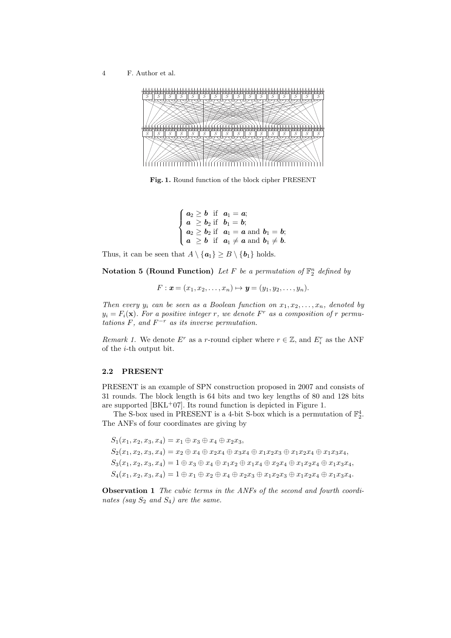

**Fig. 1.** Round function of the block cipher PRESENT

$$
\begin{cases}\na_2 \geq b \text{ if } a_1 = a; \\
a \geq b_2 \text{ if } b_1 = b; \\
a_2 \geq b_2 \text{ if } a_1 = a \text{ and } b_1 = b; \\
a \geq b \text{ if } a_1 \neq a \text{ and } b_1 \neq b.\n\end{cases}
$$

Thus, it can be seen that  $A \setminus \{a_1\} \geq B \setminus \{b_1\}$  holds.

**Notation 5 (Round Function)** Let F be a permutation of  $\mathbb{F}_2^n$  defined by

$$
F: \mathbf{x} = (x_1, x_2, \dots, x_n) \mapsto \mathbf{y} = (y_1, y_2, \dots, y_n).
$$

*Then every*  $y_i$  *can be seen as a Boolean function on*  $x_1, x_2, \ldots, x_n$ *, denoted by*  $y_i = F_i(\mathbf{x})$ *. For a positive integer r, we denote*  $F^r$  *as a composition of r permutations F, and F <sup>−</sup><sup>r</sup> as its inverse permutation.*

*Remark 1.* We denote  $E^r$  as a *r*-round cipher where  $r \in \mathbb{Z}$ , and  $E_i^r$  as the ANF of the *i*-th output bit.

#### **2.2 PRESENT**

PRESENT is an example of SPN construction proposed in 2007 and consists of 31 rounds. The block length is 64 bits and two key lengths of 80 and 128 bits are supported  $[BKL+07]$ . Its round function is depicted in Figure 1.

The S-box used in PRESENT is a 4-bit S-box which is a permutation of  $\mathbb{F}_2^4$ . The ANFs of four coordinates are giving by

 $S_1(x_1, x_2, x_3, x_4) = x_1 \oplus x_3 \oplus x_4 \oplus x_2x_3$  $S_2(x_1, x_2, x_3, x_4) = x_2 \oplus x_4 \oplus x_2x_4 \oplus x_3x_4 \oplus x_1x_2x_3 \oplus x_1x_2x_4 \oplus x_1x_3x_4,$  $S_3(x_1, x_2, x_3, x_4) = 1 \oplus x_3 \oplus x_4 \oplus x_1x_2 \oplus x_1x_4 \oplus x_2x_4 \oplus x_1x_2x_4 \oplus x_1x_3x_4,$  $S_4(x_1, x_2, x_3, x_4) = 1 \oplus x_1 \oplus x_2 \oplus x_4 \oplus x_2 x_3 \oplus x_1 x_2 x_3 \oplus x_1 x_2 x_4 \oplus x_1 x_3 x_4.$ 

**Observation 1** *The cubic terms in the ANFs of the second and fourth coordinates (say*  $S_2$  *and*  $S_4$ *) are the same.*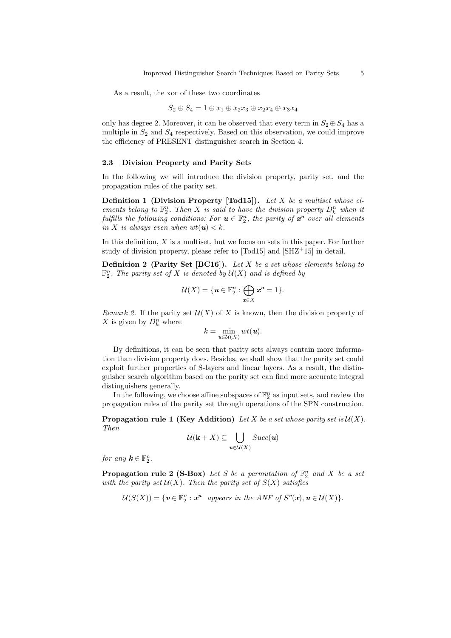As a result, the xor of these two coordinates

$$
S_2 \oplus S_4 = 1 \oplus x_1 \oplus x_2x_3 \oplus x_2x_4 \oplus x_3x_4
$$

only has degree 2. Moreover, it can be observed that every term in  $S_2 \oplus S_4$  has a multiple in  $S_2$  and  $S_4$  respectively. Based on this observation, we could improve the efficiency of PRESENT distinguisher search in Section 4.

#### **2.3 Division Property and Parity Sets**

In the following we will introduce the division property, parity set, and the propagation rules of the parity set.

**Definition 1 (Division Property [Tod15]).** *Let X be a multiset whose elements belong to*  $\mathbb{F}_2^n$ *. Then X is said to have the division property*  $D_k^n$  *when it fulfills the following conditions: For*  $u \in \mathbb{F}_2^n$ , the parity of  $x^u$  over all elements *in X is always even when*  $wt(u) < k$ *.* 

In this definition, *X* is a multiset, but we focus on sets in this paper. For further study of division property, please refer to [Tod15] and [SHZ<sup>+</sup>15] in detail.

**Definition 2 (Parity Set [BC16]).** *Let X be a set whose elements belong to*  $\mathbb{F}_2^n$ *. The parity set of X is denoted by*  $\mathcal{U}(X)$  *and is defined by* 

$$
\mathcal{U}(X) = \{ \mathbf{u} \in \mathbb{F}_2^n : \bigoplus_{x \in X} \mathbf{x}^{\mathbf{u}} = 1 \}.
$$

*Remark 2.* If the parity set  $U(X)$  of X is known, then the division property of X is given by  $D_k^n$  where

$$
k=\min_{\textbf{\textit{u}}\in \mathcal{U}(X)}wt(\textbf{\textit{u}}).
$$

By definitions, it can be seen that parity sets always contain more information than division property does. Besides, we shall show that the parity set could exploit further properties of S-layers and linear layers. As a result, the distinguisher search algorithm based on the parity set can find more accurate integral distinguishers generally.

In the following, we choose affine subspaces of  $\mathbb{F}_2^n$  as input sets, and review the propagation rules of the parity set through operations of the SPN construction.

**Propagation rule 1 (Key Addition)** *Let*  $X$  *be a set whose parity set is*  $U(X)$ *. Then*

$$
\mathcal{U}(\mathbf{k}+X)\subseteq\bigcup_{\textbf{\textit{u}}\in\mathcal{U}(X)}Succ(\textbf{\textit{u}})
$$

*for any*  $k \in \mathbb{F}_2^n$ .

**Propagation rule 2 (S-Box)** *Let S be a permutation of*  $\mathbb{F}_2^n$  *and X be a set with the parity set*  $U(X)$ *. Then the parity set of*  $S(X)$  *satisfies* 

$$
\mathcal{U}(S(X)) = \{ \mathbf{v} \in \mathbb{F}_2^n : \mathbf{x}^{\mathbf{u}} \text{ appears in the ANF of } S^{\mathbf{v}}(\mathbf{x}), \mathbf{u} \in \mathcal{U}(X) \}.
$$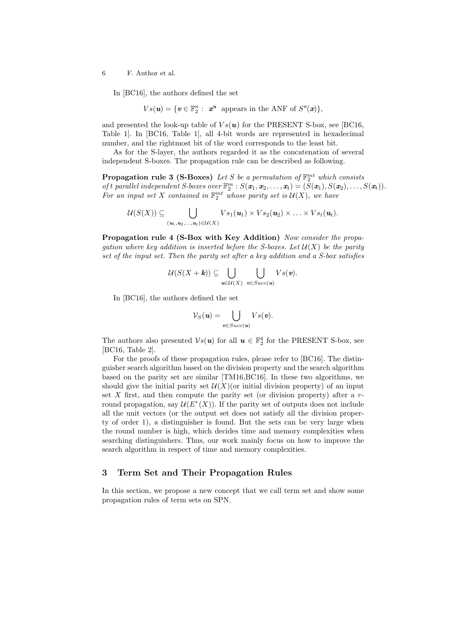In [BC16], the authors defined the set

$$
Vs(\mathbf{u}) = \{ \mathbf{v} \in \mathbb{F}_2^n : \mathbf{x}^{\mathbf{u}} \text{ appears in the ANF of } S^{\mathbf{v}}(\mathbf{x}) \},
$$

and presented the look-up table of  $Vs(u)$  for the PRESENT S-box, see [BC16, Table 1]. In [BC16, Table 1], all 4-bit words are represented in hexadecimal number, and the rightmost bit of the word corresponds to the least bit.

As for the S-layer, the authors regarded it as the concatenation of several independent S-boxes. The propagation rule can be described as following.

**Propagation rule 3 (S-Boxes)** *Let S be a permutation of*  $\mathbb{F}_2^{mt}$  *which consists* of t parallel independent S-boxes over  $\mathbb{F}_2^m$  :  $S(\mathbf{x}_1, \mathbf{x}_2, ..., \mathbf{x}_t) = (S(\mathbf{x}_1), S(\mathbf{x}_2), ..., S(\mathbf{x}_t)).$ For an input set X contained in  $\mathbb{F}_2^{mt}$  whose parity set is  $\mathcal{U}(X)$ , we have

$$
\mathcal{U}(S(X)) \subseteq \bigcup_{(\mathbf{u}_1,\mathbf{u}_2,\ldots,\mathbf{u}_t)\in \mathcal{U}(X)} Vs_1(\mathbf{u}_1)\times Vs_2(\mathbf{u}_2)\times \ldots \times Vs_t(\mathbf{u}_t).
$$

**Propagation rule 4 (S-Box with Key Addition)** *Now consider the propagation where key addition is inserted before the S-boxes. Let*  $\mathcal{U}(X)$  *be the parity set of the input set. Then the parity set after a key addition and a S-box satisfies*

$$
\mathcal{U}(S(X+\pmb{k}))\subseteq\bigcup_{\pmb{u}\in\mathcal{U}(X)}\ \bigcup_{\pmb{v}\in\mathit{Succ}(\pmb{u})}Vs(\pmb{v}).
$$

In [BC16], the authors defined the set

$$
\mathcal{V}_S(\mathbf{u}) = \bigcup_{\mathbf{v} \in Succ(\mathbf{u})} Vs(\mathbf{v}).
$$

The authors also presented  $\mathcal{V}^s(u)$  for all  $u \in \mathbb{F}_2^4$  for the PRESENT S-box, see [BC16, Table 2].

For the proofs of these propagation rules, please refer to [BC16]. The distinguisher search algorithm based on the division property and the search algorithm based on the parity set are similar [TM16,BC16]. In these two algorithms, we should give the initial parity set  $\mathcal{U}(X)$  (or initial division property) of an input set *X* first, and then compute the parity set (or division property) after a *r*round propagation, say  $\mathcal{U}(E^r(X))$ . If the parity set of outputs does not include all the unit vectors (or the output set does not satisfy all the division property of order 1), a distinguisher is found. But the sets can be very large when the round number is high, which decides time and memory complexities when searching distinguishers. Thus, our work mainly focus on how to improve the search algorithm in respect of time and memory complexities.

# **3 Term Set and Their Propagation Rules**

In this section, we propose a new concept that we call term set and show some propagation rules of term sets on SPN.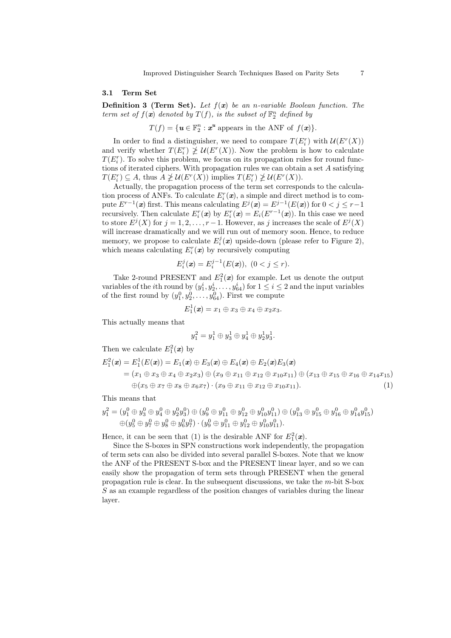#### **3.1 Term Set**

**Definition 3 (Term Set).** *Let f*(*x*) *be an n-variable Boolean function. The term set of*  $f(\mathbf{x})$  *denoted by*  $T(f)$ *, is the subset of*  $\mathbb{F}_2^n$  *defined by* 

 $T(f) = \{ \mathbf{u} \in \mathbb{F}_2^n : \mathbf{x}^{\mathbf{u}} \text{ appears in the ANF of } f(\mathbf{x}) \}.$ 

In order to find a distinguisher, we need to compare  $T(E_i^r)$  with  $U(E^r(X))$ and verify whether  $T(E_i^r) \not\geq U(E^r(X))$ . Now the problem is how to calculate  $T(E_i^r)$ . To solve this problem, we focus on its propagation rules for round functions of iterated ciphers. With propagation rules we can obtain a set *A* satisfying  $T(E_i^r) \subseteq A$ , thus  $A \not\geq U(E^r(X))$  implies  $T(E_i^r) \not\geq U(E^r(X))$ .

Actually, the propagation process of the term set corresponds to the calculation process of ANFs. To calculate  $E_i^r(\mathbf{x})$ , a simple and direct method is to compute  $E^{r-1}(\mathbf{x})$  first. This means calculating  $E^j(\mathbf{x}) = E^{j-1}(E(\mathbf{x}))$  for  $0 < j \leq r-1$ recursively. Then calculate  $E_i^r(\mathbf{x})$  by  $E_i^r(\mathbf{x}) = E_i(E^{r-1}(\mathbf{x}))$ . In this case we need to store  $E^{j}(X)$  for  $j = 1, 2, \ldots, r - 1$ . However, as *j* increases the scale of  $E^{j}(X)$ will increase dramatically and we will run out of memory soon. Hence, to reduce memory, we propose to calculate  $E_i^j(\mathbf{x})$  upside-down (please refer to Figure 2), which means calculating  $E_i^r(\boldsymbol{x})$  by recursively computing

$$
E_i^j(\mathbf{x}) = E_i^{j-1}(E(\mathbf{x})), \ (0 < j \le r).
$$

Take 2-round PRESENT and  $E_1^2(x)$  for example. Let us denote the output variables of the *i*th round by  $(y_1^i, y_2^i, \ldots, y_{64}^i)$  for  $1 \leq i \leq 2$  and the input variables of the first round by  $(y_1^0, y_2^0, \ldots, y_{64}^0)$ . First we compute

$$
E_1^1(\boldsymbol{x})=x_1\oplus x_3\oplus x_4\oplus x_2x_3.
$$

This actually means that

$$
y_1^2 = y_1^1 \oplus y_3^1 \oplus y_4^1 \oplus y_2^1 y_3^1.
$$

Then we calculate  $E_1^2(x)$  by

$$
E_1^2(\mathbf{x}) = E_1^1(E(\mathbf{x})) = E_1(\mathbf{x}) \oplus E_3(\mathbf{x}) \oplus E_4(\mathbf{x}) \oplus E_2(\mathbf{x})E_3(\mathbf{x})
$$
  
=  $(x_1 \oplus x_3 \oplus x_4 \oplus x_2x_3) \oplus (x_9 \oplus x_{11} \oplus x_{12} \oplus x_{10}x_{11}) \oplus (x_{13} \oplus x_{15} \oplus x_{16} \oplus x_{14}x_{15})$   
 $\oplus (x_5 \oplus x_7 \oplus x_8 \oplus x_6x_7) \cdot (x_9 \oplus x_{11} \oplus x_{12} \oplus x_{10}x_{11}).$  (1)

This means that

$$
y_1^2 = (y_1^0 \oplus y_3^0 \oplus y_4^0 \oplus y_2^0y_3^0) \oplus (y_9^0 \oplus y_{11}^0 \oplus y_{12}^0 \oplus y_{10}^0y_{11}^0) \oplus (y_{13}^0 \oplus y_{15}^0 \oplus y_{16}^0 \oplus y_{14}^0y_{15}^0)
$$
  

$$
\oplus (y_5^0 \oplus y_7^0 \oplus y_8^0 \oplus y_6^0y_7^0) \cdot (y_9^0 \oplus y_{11}^0 \oplus y_{12}^0 \oplus y_{10}^0y_{11}^0).
$$

Hence, it can be seen that (1) is the desirable ANF for  $E_1^2(\mathbf{x})$ .

Since the S-boxes in SPN constructions work independently, the propagation of term sets can also be divided into several parallel S-boxes. Note that we know the ANF of the PRESENT S-box and the PRESENT linear layer, and so we can easily show the propagation of term sets through PRESENT when the general propagation rule is clear. In the subsequent discussions, we take the *m*-bit S-box *S* as an example regardless of the position changes of variables during the linear layer.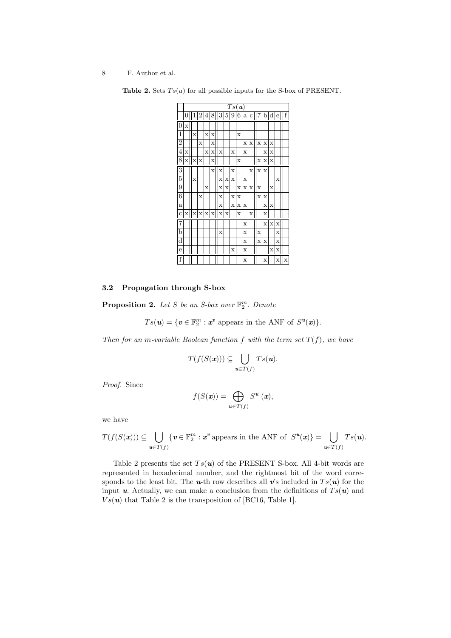|                | $Ts(\boldsymbol{u})$ |             |                  |                |             |             |             |             |             |             |   |                         |             |             |   |   |
|----------------|----------------------|-------------|------------------|----------------|-------------|-------------|-------------|-------------|-------------|-------------|---|-------------------------|-------------|-------------|---|---|
|                | 0                    |             | $\boldsymbol{2}$ | 4 <sup>1</sup> |             |             |             |             |             |             |   | 8  3 5 9 6 a c  7 b d e |             |             |   | f |
| $\theta$       | X                    |             |                  |                |             |             |             |             |             |             |   |                         |             |             |   |   |
| 1              |                      | $\mathbf x$ |                  | $\mathbf x$    | X           |             |             |             | $\mathbf x$ |             |   |                         |             |             |   |   |
| $\overline{2}$ |                      |             | X                |                | X           |             |             |             |             | X           | X | X                       | X           | X           |   |   |
| 4              | X                    |             |                  | X              | X           | $\mathbf x$ |             | X           |             | X           |   |                         | X           | X           |   |   |
| 8              | X                    | х           | X                |                | X           |             |             |             | X           |             |   | х                       | х           | Х           |   |   |
| 3              |                      |             |                  |                | X           | X           |             | X           |             |             | X | X                       | $\mathbf x$ |             |   |   |
| 5              |                      | X           |                  |                |             | $\mathbf x$ | $\mathbf x$ | X           |             | X           |   |                         |             |             | X |   |
| 9              |                      |             |                  | X              |             | X           | X           |             | X           | $\mathbf x$ | X | $\mathbf x$             |             | X           |   |   |
| 6              |                      |             | X                |                |             | X           |             | X           | X           |             |   | $\mathbf x$             | X           |             |   |   |
| a              |                      |             |                  |                |             | $\mathbf x$ |             | $\mathbf x$ | $\bar{x}$   | X           |   |                         | $\mathbf x$ | X           |   |   |
| C              | X                    | X           | X                | х              | $\mathbf x$ | X           | X           |             | X           |             | X |                         | X           |             |   |   |
| 7              |                      |             |                  |                |             |             |             |             |             | X           |   |                         | $\mathbf x$ | $\mathbf x$ | X |   |
| b              |                      |             |                  |                |             | X           |             |             |             | X           |   | X                       |             |             | X |   |
| $\rm{d}$       |                      |             |                  |                |             |             |             |             |             | X           |   | X                       | $\mathbf x$ |             | X |   |
| e              |                      |             |                  |                |             |             |             | х           |             | X           |   |                         |             | х           | X |   |
| f              |                      |             |                  |                |             |             |             |             |             | X           |   |                         | X           |             | X | X |

**Table 2.** Sets  $Ts(u)$  for all possible inputs for the S-box of PRESENT.

# **3.2 Propagation through S-box**

**Proposition 2.** *Let S be an S-box over* F *m* 2 *. Denote*

 $Ts(\boldsymbol{u}) = \{\boldsymbol{v} \in \mathbb{F}_2^m : \boldsymbol{x}^{\boldsymbol{v}} \text{ appears in the ANF of } S^{\boldsymbol{u}}(\boldsymbol{x})\}.$ 

*Then for an m-variable Boolean function*  $f$  *with the term set*  $T(f)$ *, we have* 

$$
T(f(S(\mathbf{x}))) \subseteq \bigcup_{\mathbf{u} \in T(f)} Ts(\mathbf{u}).
$$

*Proof.* Since

$$
f(S(\mathbf{x})) = \bigoplus_{\mathbf{u} \in T(f)} S^{\mathbf{u}}(\mathbf{x}),
$$

we have

$$
T(f(S(\boldsymbol{x}))) \subseteq \bigcup_{\boldsymbol{u}\in T(f)} \{\boldsymbol{v}\in \mathbb{F}_2^m : \boldsymbol{x}^{\boldsymbol{v}} \text{ appears in the ANF of } S^{\boldsymbol{u}}(\boldsymbol{x})\} = \bigcup_{\boldsymbol{u}\in T(f)} Ts(\boldsymbol{u}).
$$

Table 2 presents the set  $Ts(u)$  of the PRESENT S-box. All 4-bit words are represented in hexadecimal number, and the rightmost bit of the word corresponds to the least bit. The **u**-th row describes all **v**'s included in  $Ts(u)$  for the input *u*. Actually, we can make a conclusion from the definitions of  $Ts(u)$  and  $Vs(\boldsymbol{u})$  that Table 2 is the transposition of [BC16, Table 1].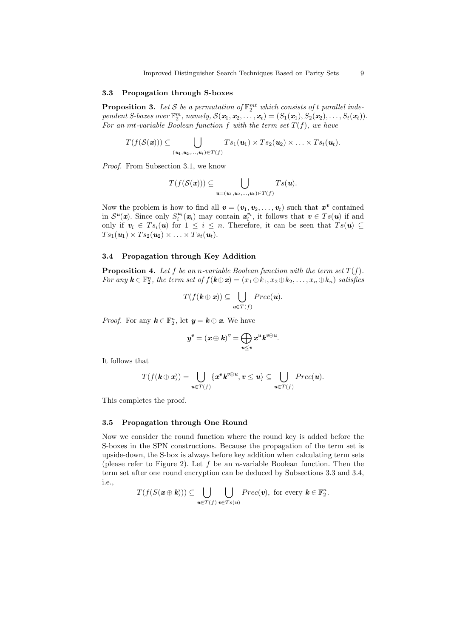Improved Distinguisher Search Techniques Based on Parity Sets 9

#### **3.3 Propagation through S-boxes**

**Proposition 3.** Let S be a permutation of  $\mathbb{F}_2^{mt}$  which consists of t parallel independent S-boxes over  $\mathbb{F}_2^m$ , namely,  $\mathcal{S}(\mathbf{x}_1, \mathbf{x}_2, \ldots, \mathbf{x}_t) = (S_1(\mathbf{x}_1), S_2(\mathbf{x}_2), \ldots, S_t(\mathbf{x}_t)).$ *For an mt-variable Boolean function*  $f$  *with the term set*  $T(f)$ *, we have* 

$$
T(f(\mathcal{S}(\boldsymbol{x}))) \subseteq \bigcup_{(\boldsymbol{u}_1,\boldsymbol{u}_2,\ldots,\boldsymbol{u}_t)\in T(f)} Ts_1(\boldsymbol{u}_1) \times Ts_2(\boldsymbol{u}_2) \times \ldots \times Ts_t(\boldsymbol{u}_t).
$$

*Proof.* From Subsection 3.1, we know

$$
T(f(\mathcal{S}(\boldsymbol{x}))) \subseteq \bigcup_{\boldsymbol{u}=(\boldsymbol{u}_1,\boldsymbol{u}_2,\ldots,\boldsymbol{u}_t)\in T(f)} Ts(\boldsymbol{u}).
$$

Now the problem is how to find all  $v = (v_1, v_2, \ldots, v_t)$  such that  $x^v$  contained in  $S^u(x)$ . Since only  $S_i^{u_i}(x_i)$  may contain  $x_i^{v_i}$ , it follows that  $v \in Ts(u)$  if and only if  $v_i \in Ts_i(u)$  for  $1 \leq i \leq n$ . Therefore, it can be seen that  $Ts(u) \subseteq$  $T s_1(\boldsymbol{u}_1) \times T s_2(\boldsymbol{u}_2) \times \ldots \times T s_t(\boldsymbol{u}_t).$ 

## **3.4 Propagation through Key Addition**

**Proposition 4.** Let  $f$  be an *n-variable Boolean function with the term set*  $T(f)$ *.* For any  $\mathbf{k} \in \mathbb{F}_2^n$ , the term set of  $f(\mathbf{k} \oplus \mathbf{x}) = (x_1 \oplus k_1, x_2 \oplus k_2, \dots, x_n \oplus k_n)$  satisfies

$$
T(f(\mathbf{k} \oplus \mathbf{x})) \subseteq \bigcup_{\mathbf{u} \in T(f)} \mathit{Prec}(\mathbf{u}).
$$

*Proof.* For any  $k \in \mathbb{F}_2^n$ , let  $y = k \oplus x$ . We have

$$
\boldsymbol{y}^{v}=\left( \boldsymbol{x}\oplus\boldsymbol{k}\right) ^{v}=\bigoplus_{u\leq v}\boldsymbol{x}^{u}\boldsymbol{k}^{v\oplus u}.
$$

It follows that

$$
T(f(\mathbf{k} \oplus \mathbf{x})) = \bigcup_{\mathbf{u} \in T(f)} \{ \mathbf{x}^{\mathbf{v}} \mathbf{k}^{\mathbf{v} \oplus \mathbf{u}}, \mathbf{v} \leq \mathbf{u} \} \subseteq \bigcup_{\mathbf{u} \in T(f)} \mathit{Prec}(\mathbf{u}).
$$

This completes the proof.

## **3.5 Propagation through One Round**

Now we consider the round function where the round key is added before the S-boxes in the SPN constructions. Because the propagation of the term set is upside-down, the S-box is always before key addition when calculating term sets (please refer to Figure 2). Let *f* be an *n*-variable Boolean function. Then the term set after one round encryption can be deduced by Subsections 3.3 and 3.4, i.e.,

$$
T(f(S(\boldsymbol{x} \oplus \boldsymbol{k}))) \subseteq \bigcup_{\boldsymbol{u} \in T(f)} \bigcup_{\boldsymbol{v} \in Ts(\boldsymbol{u})} \text{Prec}(\boldsymbol{v}), \text{ for every } \boldsymbol{k} \in \mathbb{F}_{2}^{n}.
$$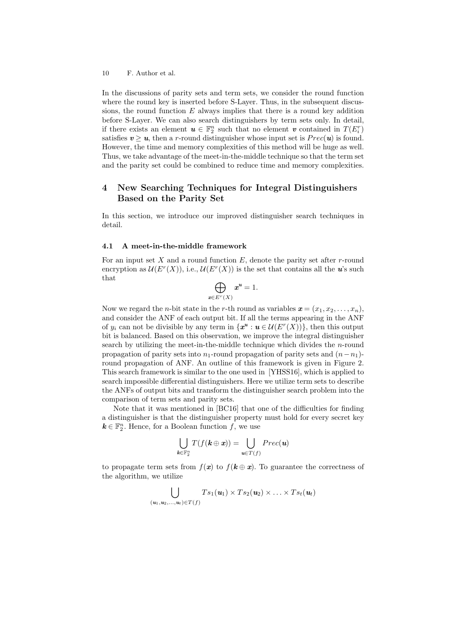In the discussions of parity sets and term sets, we consider the round function where the round key is inserted before S-Layer. Thus, in the subsequent discussions, the round function  $E$  always implies that there is a round key addition before S-Layer. We can also search distinguishers by term sets only. In detail, if there exists an element  $u \in \mathbb{F}_2^n$  such that no element *v* contained in  $T(E_i^r)$ satisfies  $v > u$ , then a *r*-round distinguisher whose input set is  $Prec(u)$  is found. However, the time and memory complexities of this method will be huge as well. Thus, we take advantage of the meet-in-the-middle technique so that the term set and the parity set could be combined to reduce time and memory complexities.

# **4 New Searching Techniques for Integral Distinguishers Based on the Parity Set**

In this section, we introduce our improved distinguisher search techniques in detail.

## **4.1 A meet-in-the-middle framework**

For an input set *X* and a round function *E*, denote the parity set after *r*-round encryption as  $\mathcal{U}(E^r(X))$ , i.e.,  $\mathcal{U}(E^r(X))$  is the set that contains all the *u*'s such that

$$
\bigoplus_{x \in E^r(X)} x^u = 1.
$$

Now we regard the *n*-bit state in the *r*-th round as variables  $\mathbf{x} = (x_1, x_2, \dots, x_n)$ , and consider the ANF of each output bit. If all the terms appearing in the ANF of  $y_i$  can not be divisible by any term in  $\{x^u : u \in \mathcal{U}(E^r(X))\}$ , then this output bit is balanced. Based on this observation, we improve the integral distinguisher search by utilizing the meet-in-the-middle technique which divides the *n*-round propagation of parity sets into  $n_1$ -round propagation of parity sets and  $(n - n_1)$ round propagation of ANF. An outline of this framework is given in Figure 2. This search framework is similar to the one used in [YHSS16], which is applied to search impossible differential distinguishers. Here we utilize term sets to describe the ANFs of output bits and transform the distinguisher search problem into the comparison of term sets and parity sets.

Note that it was mentioned in [BC16] that one of the difficulties for finding a distinguisher is that the distinguisher property must hold for every secret key  $k \in \mathbb{F}_2^n$ . Hence, for a Boolean function *f*, we use

$$
\bigcup_{\boldsymbol{k}\in\mathbb{F}_2^n}T(f(\boldsymbol{k}\oplus\boldsymbol{x}))=\bigcup_{\boldsymbol{u}\in T(f)}Prec(\boldsymbol{u})
$$

to propagate term sets from  $f(x)$  to  $f(k \oplus x)$ . To guarantee the correctness of the algorithm, we utilize

$$
\bigcup_{(\mathbf{u}_1,\mathbf{u}_2,\ldots,\mathbf{u}_t)\in T(f)} Ts_1(\mathbf{u}_1)\times Ts_2(\mathbf{u}_2)\times \ldots \times Ts_t(\mathbf{u}_t)
$$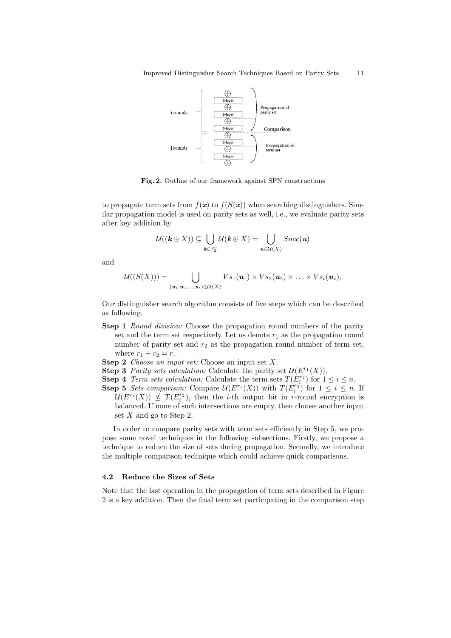

**Fig. 2.** Outline of our framework against SPN constructions

to propagate term sets from  $f(x)$  to  $f(S(x))$  when searching distinguishers. Similar propagation model is used on parity sets as well, i.e., we evaluate parity sets after key addition by

$$
\mathcal{U}((\mathbf{k}\oplus X))\subseteq\bigcup_{\mathbf{k}\in\mathbb{F}_2^n}\mathcal{U}(\mathbf{k}\oplus X)=\bigcup_{\mathbf{u}\in\mathcal{U}(X)}Succ(\mathbf{u})
$$

and

$$
\mathcal{U}((S(X))) = \bigcup_{(\mathbf{u}_1,\mathbf{u}_2,\ldots,\mathbf{u}_t)\in \mathcal{U}(X)} Vs_1(\mathbf{u}_1)\times Vs_2(\mathbf{u}_2)\times \ldots \times Vs_t(\mathbf{u}_t).
$$

Our distinguisher search algorithm consists of five steps which can be described as following.

- **Step 1** *Round division:* Choose the propagation round numbers of the parity set and the term set respectively. Let us denote  $r_1$  as the propagation round number of parity set and  $r_2$  as the propagation round number of term set, where  $r_1 + r_2 = r$ .
- **Step 2** *Choose an input set:* Choose an input set *X*.
- **Step 3** *Parity sets calculation:* Calculate the parity set  $\mathcal{U}(E^{r_1}(X))$ .
- **Step 4** *Term sets calculation:* Calculate the term sets  $T(E_i^{r_2})$  for  $1 \le i \le n$ . **Step 5** *Sets comparison:* Compare  $\mathcal{U}(E^{r_1}(X))$  with  $T(E_i^{r_2})$  for  $1 \leq i \leq n$ . If
	- $U(E^{r_1}(X)) \nleq T(E_i^{r_2})$ , then the *i*-th output bit in *r*-round encryption is balanced. If none of such intersections are empty, then choose another input set *X* and go to Step 2.

In order to compare parity sets with term sets efficiently in Step 5, we propose some novel techniques in the following subsections. Firstly, we propose a technique to reduce the size of sets during propagation. Secondly, we introduce the multiple comparison technique which could achieve quick comparisons.

## **4.2 Reduce the Sizes of Sets**

Note that the last operation in the propagation of term sets described in Figure 2 is a key addition. Then the final term set participating in the comparison step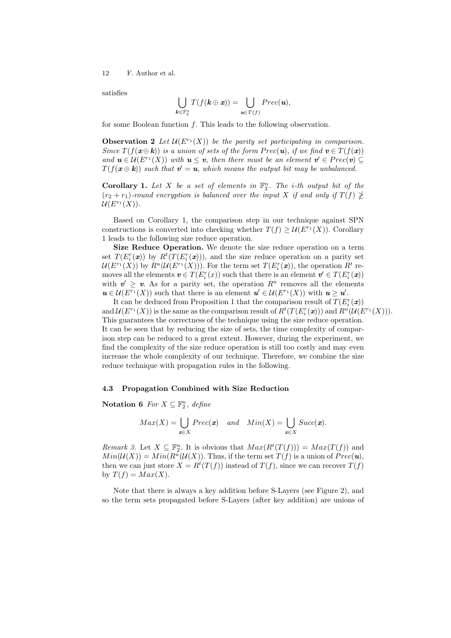satisfies

$$
\bigcup_{\pmb k\in\mathbb F_2^n}T(f(\pmb k\oplus\pmb x))=\bigcup_{\pmb u\in T(f)}Prec(\pmb u),
$$

for some Boolean function *f*. This leads to the following observation.

**Observation 2** Let  $\mathcal{U}(E^{r_1}(X))$  be the parity set participating in comparison. *Since*  $T(f(\boldsymbol{x})\oplus \boldsymbol{k}))$  *is a union of sets of the form*  $Prec(\boldsymbol{u})$ *, <i>if we find*  $\boldsymbol{v} \in T(f(\boldsymbol{x}))$ *and*  $u \in U(F^{r_1}(X))$  *with*  $u \leq v$ *, then there must be an element*  $v' \in Prec(v) \subseteq$  $T(f(\boldsymbol{x} \oplus \boldsymbol{k}))$  such that  $\boldsymbol{v}' = \boldsymbol{u}$ , which means the output bit may be unbalanced.

**Corollary 1.** Let  $X$  be a set of elements in  $\mathbb{F}_2^n$ . The *i*-th output bit of the  $(r_2 + r_1)$ -round encryption is balanced over the input X if and only if  $T(f) \ngeq$  $U(E^{r_1}(X)).$ 

Based on Corollary 1, the comparison step in our technique against SPN constructions is converted into checking whether  $T(f) \geq \mathcal{U}(E^{r_1}(X))$ . Corollary 1 leads to the following size reduce operation.

**Size Reduce Operation.** We denote the size reduce operation on a term set  $T(E_i^r(\boldsymbol{x}))$  by  $R^t(T(E_i^r(\boldsymbol{x})))$ , and the size reduce operation on a parity set  $\mathcal{U}(E^{r_1}(X))$  by  $R^u(\mathcal{U}(E^{r_1}(X)))$ . For the term set  $T(E_i^r(\boldsymbol{x}))$ , the operation  $R^t$  removes all the elements  $\mathbf{v} \in T(E_i^r(x))$  such that there is an element  $\mathbf{v}' \in T(E_i^r(\mathbf{x}))$ with  $v' \geq v$ . As for a parity set, the operation  $R^u$  removes all the elements  $u \in \mathcal{U}(E^{r_1}(X))$  such that there is an element  $u' \in \mathcal{U}(E^{r_1}(X))$  with  $u \geq u'$ .

It can be deduced from Proposition 1 that the comparison result of  $T(E_i^r(\boldsymbol{x}))$ and  $\mathcal{U}(E^{r_1}(X))$  is the same as the comparison result of  $R^t(T(E_i^r(\boldsymbol{x})))$  and  $R^u(\mathcal{U}(E^{r_1}(X)))$ . This guarantees the correctness of the technique using the size reduce operation. It can be seen that by reducing the size of sets, the time complexity of comparison step can be reduced to a great extent. However, during the experiment, we find the complexity of the size reduce operation is still too costly and may even increase the whole complexity of our technique. Therefore, we combine the size reduce technique with propagation rules in the following.

## **4.3 Propagation Combined with Size Reduction**

**Notation 6** *For*  $X \subseteq \mathbb{F}_2^n$ *, define* 

$$
Max(X) = \bigcup_{x \in X} \mathit{Prec}(x) \quad and \quad Min(X) = \bigcup_{x \in X} \mathit{Succ}(x).
$$

*Remark 3.* Let  $X \subseteq \mathbb{F}_2^n$ . It is obvious that  $Max(R^t(T(f))) = Max(T(f))$  and  $Min(\mathcal{U}(X)) = Min(R^u(\mathcal{U}(X))$ . Thus, if the term set  $T(f)$  is a union of  $Prec(u)$ , then we can just store  $X = R^t(T(f))$  instead of  $T(f)$ , since we can recover  $T(f)$ by  $T(f) = Max(X)$ .

Note that there is always a key addition before S-Layers (see Figure 2), and so the term sets propagated before S-Layers (after key addition) are unions of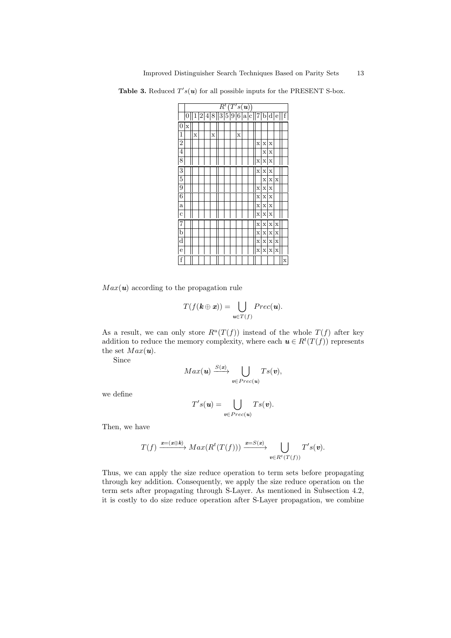**Table 3.** Reduced  $T's(u)$  for all possible inputs for the PRESENT S-box.

|                         |             | $\overline{R^t(T^{\prime} s(\textit{\textbf{u}})})$<br>2 4 8  3 5 9 6 a c  7 b d e  f |  |  |   |  |  |  |   |  |  |             |             |                         |    |             |
|-------------------------|-------------|---------------------------------------------------------------------------------------|--|--|---|--|--|--|---|--|--|-------------|-------------|-------------------------|----|-------------|
|                         | 0           | $1\vert$                                                                              |  |  |   |  |  |  |   |  |  |             |             |                         |    |             |
| $\overline{0}$          | $\mathbf x$ |                                                                                       |  |  |   |  |  |  |   |  |  |             |             |                         |    |             |
| 1                       |             | X                                                                                     |  |  | X |  |  |  | X |  |  |             |             |                         |    |             |
| $\overline{2}$          |             |                                                                                       |  |  |   |  |  |  |   |  |  | $\mathbf x$ | $\mathbf x$ | X                       |    |             |
| $\overline{4}$          |             |                                                                                       |  |  |   |  |  |  |   |  |  |             | X           | $\mathbf x$             |    |             |
| $\overline{8}$          |             |                                                                                       |  |  |   |  |  |  |   |  |  | X           | $\mathbf x$ | X                       |    |             |
| 3                       |             |                                                                                       |  |  |   |  |  |  |   |  |  | X           | $\mathbf x$ | $\bar{x}$               |    |             |
| 5                       |             |                                                                                       |  |  |   |  |  |  |   |  |  |             | X           | $\mathbf{x}$            | Ιx |             |
| 9                       |             |                                                                                       |  |  |   |  |  |  |   |  |  | X           | $\mathbf x$ | $\mathbf x$             |    |             |
| 6                       |             |                                                                                       |  |  |   |  |  |  |   |  |  | X           | $\mathbf x$ | $\mathbf x$             |    |             |
| $\mathbf{a}$            |             |                                                                                       |  |  |   |  |  |  |   |  |  | $\mathbf x$ | $\mathbf x$ | $\mathbf x$             |    |             |
| $\mathbf c$             |             |                                                                                       |  |  |   |  |  |  |   |  |  |             | x x         | X                       |    |             |
| 7                       |             |                                                                                       |  |  |   |  |  |  |   |  |  | X           |             | x   x   x               |    |             |
| $\mathbf b$             |             |                                                                                       |  |  |   |  |  |  |   |  |  | X           | $\mathbf x$ | $\mathbf{x} \mathbf{x}$ |    |             |
| $\overline{\mathrm{d}}$ |             |                                                                                       |  |  |   |  |  |  |   |  |  | X           |             | X X X                   |    |             |
| e                       |             |                                                                                       |  |  |   |  |  |  |   |  |  |             | X X X X     |                         |    |             |
| f                       |             |                                                                                       |  |  |   |  |  |  |   |  |  |             |             |                         |    | $\mathbf x$ |

 $Max(\mathbf{u})$  according to the propagation rule

$$
T(f(\mathbf{k} \oplus \mathbf{x})) = \bigcup_{\mathbf{u} \in T(f)} \mathit{Prec}(\mathbf{u}).
$$

As a result, we can only store  $R^u(T(f))$  instead of the whole  $T(f)$  after key addition to reduce the memory complexity, where each  $u \in R^t(T(f))$  represents the set  $Max(\mathbf{u})$ .

Since

$$
Max(\mathbf{u}) \xrightarrow{S(\mathbf{x})} \bigcup_{\mathbf{v} \in \operatorname{Prec}(\mathbf{u})} Ts(\mathbf{v}),
$$

we define

$$
T's(\mathbf{u}) = \bigcup_{\mathbf{v} \in \mathit{Prec}(\mathbf{u})} Ts(\mathbf{v}).
$$

Then, we have

$$
T(f) \xrightarrow{x=(x \oplus k)} Max(R^t(T(f))) \xrightarrow{x=S(x)} \bigcup_{v \in R^t(T(f))} T's(v).
$$

Thus, we can apply the size reduce operation to term sets before propagating through key addition. Consequently, we apply the size reduce operation on the term sets after propagating through S-Layer. As mentioned in Subsection 4.2, it is costly to do size reduce operation after S-Layer propagation, we combine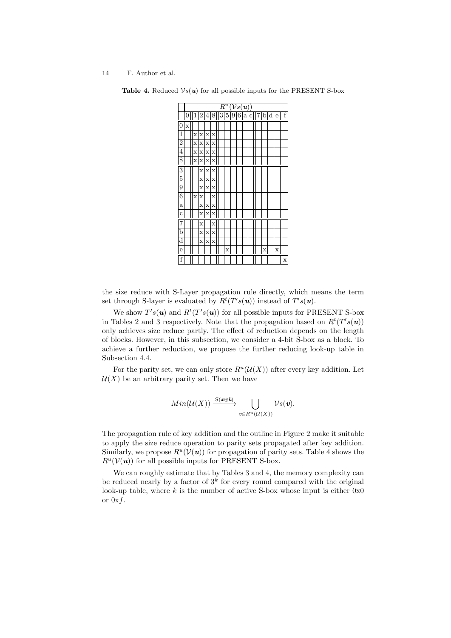|                         | $\overline{(\mathcal V s(\textit{\textbf{u}}))}$<br>$R^{\overline{u}}$ |   |              |             |             |  |  |   |  |  |  |  |   |                               |   |                         |
|-------------------------|------------------------------------------------------------------------|---|--------------|-------------|-------------|--|--|---|--|--|--|--|---|-------------------------------|---|-------------------------|
|                         | 0                                                                      |   |              |             |             |  |  |   |  |  |  |  |   | 1 2 4 8  3 5 9 6 a c  7 b d e |   | $\overline{\mathrm{f}}$ |
| 0                       | X                                                                      |   |              |             |             |  |  |   |  |  |  |  |   |                               |   |                         |
| 1                       |                                                                        | X | $\mathbf x$  | $\mathbf x$ | X           |  |  |   |  |  |  |  |   |                               |   |                         |
| $\overline{2}$          |                                                                        | X | $\mathbf x$  | $\mathbf x$ | X           |  |  |   |  |  |  |  |   |                               |   |                         |
| $\overline{4}$          |                                                                        | X |              | x x         | $\mathbf x$ |  |  |   |  |  |  |  |   |                               |   |                         |
| $\overline{8}$          |                                                                        |   | x x x        |             |             |  |  |   |  |  |  |  |   |                               |   |                         |
| 3                       |                                                                        |   | X            | $\mathbf x$ | X           |  |  |   |  |  |  |  |   |                               |   |                         |
| $\overline{5}$          |                                                                        |   | X            | X           | X           |  |  |   |  |  |  |  |   |                               |   |                         |
| $\overline{9}$          |                                                                        |   | X            | $\mathbf x$ | X           |  |  |   |  |  |  |  |   |                               |   |                         |
| $\overline{6}$          |                                                                        | X | $\mathbf x$  |             | X           |  |  |   |  |  |  |  |   |                               |   |                         |
| $\mathbf{a}$            |                                                                        |   | X            | X           | X           |  |  |   |  |  |  |  |   |                               |   |                         |
| $\mathbf c$             |                                                                        |   | $\mathbf{x}$ | $\mathbf x$ | $\mathbf x$ |  |  |   |  |  |  |  |   |                               |   |                         |
| 7                       |                                                                        |   | X            |             | X           |  |  |   |  |  |  |  |   |                               |   |                         |
| b                       |                                                                        |   | X            | X           | X           |  |  |   |  |  |  |  |   |                               |   |                         |
| $\overline{\mathrm{d}}$ |                                                                        |   | X            | $\bar{x}$   | $\bar{x}$   |  |  |   |  |  |  |  |   |                               |   |                         |
| e                       |                                                                        |   |              |             |             |  |  | X |  |  |  |  | X |                               | X |                         |
| f                       |                                                                        |   |              |             |             |  |  |   |  |  |  |  |   |                               |   | X                       |

**Table 4.** Reduced  $\mathcal{V}_s(u)$  for all possible inputs for the PRESENT S-box

the size reduce with S-Layer propagation rule directly, which means the term set through S-layer is evaluated by  $R^t(T's(\boldsymbol{u}))$  instead of  $T's(\boldsymbol{u})$ .

We show  $T's(u)$  and  $R^t(T's(u))$  for all possible inputs for PRESENT S-box in Tables 2 and 3 respectively. Note that the propagation based on  $R^t(T^s s(u))$ only achieves size reduce partly. The effect of reduction depends on the length of blocks. However, in this subsection, we consider a 4-bit S-box as a block. To achieve a further reduction, we propose the further reducing look-up table in Subsection 4.4.

For the parity set, we can only store  $R^u(\mathcal{U}(X))$  after every key addition. Let  $U(X)$  be an arbitrary parity set. Then we have

$$
Min(\mathcal{U}(X)) \xrightarrow{S(x \oplus k)} \bigcup_{v \in R^u(\mathcal{U}(X))} \mathcal{V}s(v).
$$

The propagation rule of key addition and the outline in Figure 2 make it suitable to apply the size reduce operation to parity sets propagated after key addition. Similarly, we propose  $R^u(\mathcal{V}(u))$  for propagation of parity sets. Table 4 shows the  $R^u(V(u))$  for all possible inputs for PRESENT S-box.

We can roughly estimate that by Tables 3 and 4, the memory complexity can be reduced nearly by a factor of  $3^k$  for every round compared with the original look-up table, where *k* is the number of active S-box whose input is either 0x0 or 0x*f*.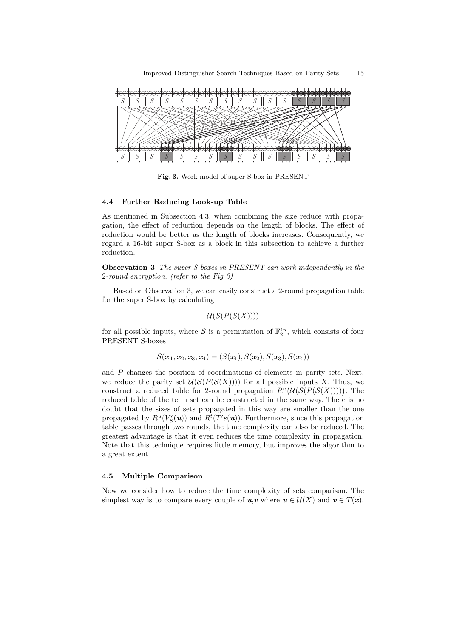

**Fig. 3.** Work model of super S-box in PRESENT

## **4.4 Further Reducing Look-up Table**

As mentioned in Subsection 4.3, when combining the size reduce with propagation, the effect of reduction depends on the length of blocks. The effect of reduction would be better as the length of blocks increases. Consequently, we regard a 16-bit super S-box as a block in this subsection to achieve a further reduction.

**Observation 3** *The super S-boxes in PRESENT can work independently in the* 2*-round encryption. (refer to the Fig 3)*

Based on Observation 3, we can easily construct a 2-round propagation table for the super S-box by calculating

$$
\mathcal{U}(\mathcal{S}(P(\mathcal{S}(X))))
$$

for all possible inputs, where  $S$  is a permutation of  $\mathbb{F}_2^{4n}$ , which consists of four PRESENT S-boxes

$$
\mathcal{S}(\boldsymbol{x}_1,\boldsymbol{x}_2,\boldsymbol{x}_3,\boldsymbol{x}_4)=(S(\boldsymbol{x}_1),S(\boldsymbol{x}_2),S(\boldsymbol{x}_3),S(\boldsymbol{x}_4))
$$

and *P* changes the position of coordinations of elements in parity sets. Next, we reduce the parity set  $\mathcal{U}(\mathcal{S}(P(\mathcal{S}(X))))$  for all possible inputs X. Thus, we construct a reduced table for 2-round propagation  $R^u\left(\mathcal{U}(\mathcal{S}(P(\mathcal{S}(X))))\right)$ . The reduced table of the term set can be constructed in the same way. There is no doubt that the sizes of sets propagated in this way are smaller than the one propagated by  $R^u(V'_S(u))$  and  $R^t(T's(u))$ . Furthermore, since this propagation table passes through two rounds, the time complexity can also be reduced. The greatest advantage is that it even reduces the time complexity in propagation. Note that this technique requires little memory, but improves the algorithm to a great extent.

# **4.5 Multiple Comparison**

Now we consider how to reduce the time complexity of sets comparison. The simplest way is to compare every couple of  $u, v$  where  $u \in \mathcal{U}(X)$  and  $v \in T(x)$ ,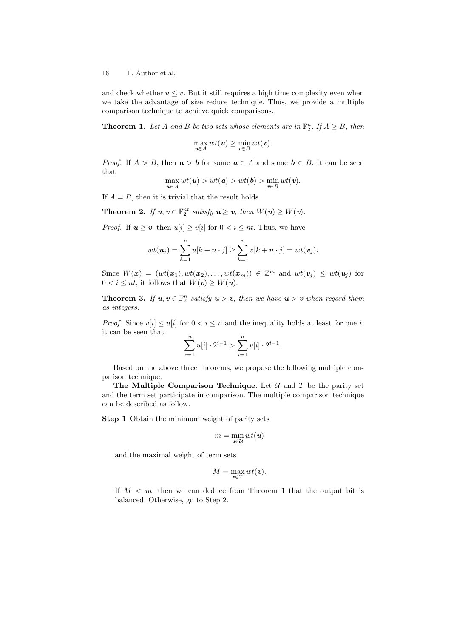and check whether  $u \leq v$ . But it still requires a high time complexity even when we take the advantage of size reduce technique. Thus, we provide a multiple comparison technique to achieve quick comparisons.

**Theorem 1.** Let *A* and *B* be two sets whose elements are in  $\mathbb{F}_2^n$ . If  $A \geq B$ , then

$$
\max_{\boldsymbol{u}\in A} wt(\boldsymbol{u}) \ge \min_{\boldsymbol{v}\in B} wt(\boldsymbol{v}).
$$

*Proof.* If  $A > B$ , then  $a > b$  for some  $a \in A$  and some  $b \in B$ . It can be seen that

$$
\max_{\boldsymbol{u}\in A} wt(\boldsymbol{u}) > wt(\boldsymbol{a}) > wt(\boldsymbol{b}) > \min_{\boldsymbol{v}\in B} wt(\boldsymbol{v}).
$$

If  $A = B$ , then it is trivial that the result holds.

**Theorem 2.** *If*  $u, v \in \mathbb{F}_2^{nt}$  *satisfy*  $u \geq v$ *, then*  $W(u) \geq W(v)$ *.* 

*Proof.* If  $u \geq v$ , then  $u[i] \geq v[i]$  for  $0 \leq i \leq nt$ . Thus, we have

$$
wt(\boldsymbol{u}_j)=\sum_{k=1}^n u[k+n\cdot j]\geq \sum_{k=1}^n v[k+n\cdot j]=wt(\boldsymbol{v}_j).
$$

Since  $W(\mathbf{x}) = (wt(\mathbf{x}_1), wt(\mathbf{x}_2), \dots, wt(\mathbf{x}_m)) \in \mathbb{Z}^m$  and  $wt(\mathbf{v}_j) \leq wt(\mathbf{u}_j)$  for  $0 < i \leq nt$ , it follows that  $W(v) \geq W(u)$ .

**Theorem 3.** If  $u, v \in \mathbb{F}_2^n$  satisfy  $u > v$ , then we have  $u > v$  when regard them *as integers.*

*Proof.* Since  $v[i] \leq u[i]$  for  $0 < i \leq n$  and the inequality holds at least for one *i*, it can be seen that

$$
\sum_{i=1}^{n} u[i] \cdot 2^{i-1} > \sum_{i=1}^{n} v[i] \cdot 2^{i-1}.
$$

Based on the above three theorems, we propose the following multiple comparison technique.

**The Multiple Comparison Technique.** Let  $U$  and  $T$  be the parity set and the term set participate in comparison. The multiple comparison technique can be described as follow.

**Step 1** Obtain the minimum weight of parity sets

$$
m = \min_{\mathbf{u} \in \mathcal{U}} wt(\mathbf{u})
$$

and the maximal weight of term sets

$$
M=\max_{\boldsymbol{v}\in T}wt(\boldsymbol{v}).
$$

If  $M < m$ , then we can deduce from Theorem 1 that the output bit is balanced. Otherwise, go to Step 2.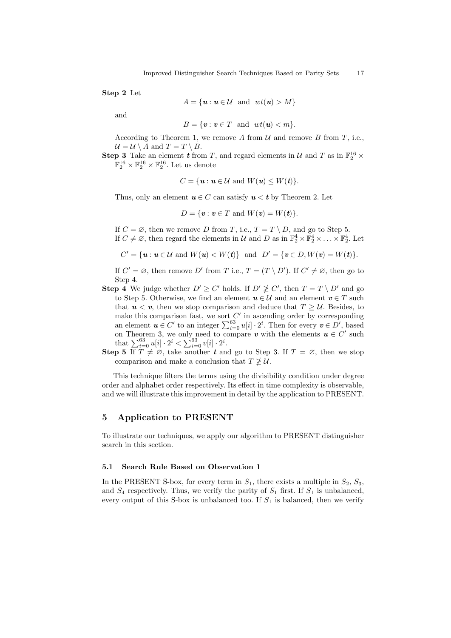**Step 2** Let

$$
A = \{ \mathbf{u} : \mathbf{u} \in \mathcal{U} \text{ and } wt(\mathbf{u}) > M \}
$$

and

$$
B = \{ \mathbf{v} : \mathbf{v} \in T \text{ and } wt(\mathbf{u}) < m \}.
$$

According to Theorem 1, we remove  $A$  from  $U$  and remove  $B$  from  $T$ , i.e.,  $U = U \setminus A$  and  $T = T \setminus B$ .

**Step 3** Take an element *t* from *T*, and regard elements in *U* and *T* as in  $\mathbb{F}_2^{16}$  ×  $\mathbb{F}_2^{16} \times \mathbb{F}_2^{16} \times \mathbb{F}_2^{16}$ . Let us denote

$$
C = \{ \mathbf{u} : \mathbf{u} \in \mathcal{U} \text{ and } W(\mathbf{u}) \leq W(\mathbf{t}) \}.
$$

Thus, only an element  $u \in C$  can satisfy  $u < t$  by Theorem 2. Let

$$
D = \{ \mathbf{v} : \mathbf{v} \in T \text{ and } W(\mathbf{v}) = W(\mathbf{t}) \}.
$$

If  $C = \emptyset$ , then we remove *D* from *T*, i.e.,  $T = T \setminus D$ , and go to Step 5. If  $C \neq \emptyset$ , then regard the elements in *U* and *D* as in  $\mathbb{F}_2^4 \times \mathbb{F}_2^4 \times \ldots \times \mathbb{F}_2^4$ . Let

 $C' = \{ \mathbf{u} : \mathbf{u} \in \mathcal{U} \text{ and } W(\mathbf{u}) < W(\mathbf{t}) \}$  and  $D' = \{ \mathbf{v} \in D, W(\mathbf{v}) = W(\mathbf{t}) \}.$ 

If  $C' = \emptyset$ , then remove  $D'$  from  $T$  i.e.,  $T = (T \setminus D')$ . If  $C' \neq \emptyset$ , then go to Step 4.

- **Step 4** We judge whether  $D' \ge C'$  holds. If  $D' \not\ge C'$ , then  $T = T \setminus D'$  and go to Step 5. Otherwise, we find an element  $u \in \mathcal{U}$  and an element  $v \in T$  such that  $u < v$ , then we stop comparison and deduce that  $T \geq U$ . Besides, to make this comparison fast, we sort *C ′* in ascending order by corresponding an element  $u \in C'$  to an integer  $\sum_{i=0}^{63} u[i] \cdot 2^i$ . Then for every  $v \in D'$ , based on Theorem 3, we only need to compare  $v$  with the elements  $u \in C'$  such that  $\sum_{i=0}^{63} u[i] \cdot 2^i < \sum_{i=0}^{63} v[i] \cdot 2^i$ .
- **Step 5** If  $T \neq \emptyset$ , take another *t* and go to Step 3. If  $T = \emptyset$ , then we stop comparison and make a conclusion that  $T \not\geq U$ .

This technique filters the terms using the divisibility condition under degree order and alphabet order respectively. Its effect in time complexity is observable, and we will illustrate this improvement in detail by the application to PRESENT.

# **5 Application to PRESENT**

To illustrate our techniques, we apply our algorithm to PRESENT distinguisher search in this section.

## **5.1 Search Rule Based on Observation 1**

In the PRESENT S-box, for every term in  $S_1$ , there exists a multiple in  $S_2$ ,  $S_3$ , and  $S_4$  respectively. Thus, we verify the parity of  $S_1$  first. If  $S_1$  is unbalanced, every output of this S-box is unbalanced too. If  $S_1$  is balanced, then we verify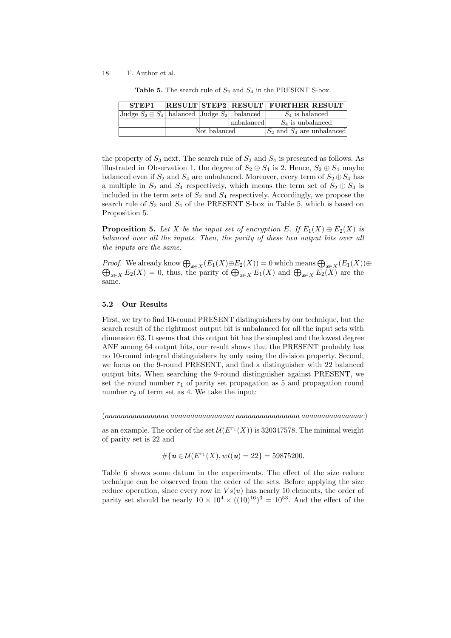| STEP1                                                |              |            | <b>RESULT STEP2 RESULT FURTHER RESULT</b> |
|------------------------------------------------------|--------------|------------|-------------------------------------------|
| Judge $S_2 \oplus S_4$ balanced Judge $S_2$ balanced |              |            | $S_4$ is balanced                         |
|                                                      |              | unbalanced | $S_4$ is unbalanced                       |
|                                                      | Not balanced |            | $S_2$ and $S_4$ are unbalanced            |

**Table 5.** The search rule of *S*<sup>2</sup> and *S*<sup>4</sup> in the PRESENT S-box.

the property of  $S_3$  next. The search rule of  $S_2$  and  $S_4$  is presented as follows. As illustrated in Observation 1, the degree of  $S_2 \oplus S_4$  is 2. Hence,  $S_2 \oplus S_4$  maybe balanced even if  $S_2$  and  $S_4$  are unbalanced. Moreover, every term of  $S_2 \oplus S_4$  has a multiple in  $S_2$  and  $S_4$  respectively, which means the term set of  $S_2 \oplus S_4$  is included in the term sets of  $S_2$  and  $S_4$  respectively. Accordingly, we propose the search rule of  $S_2$  and  $S_4$  of the PRESENT S-box in Table 5, which is based on Proposition 5.

**Proposition 5.** Let *X* be the input set of encryption *E*. If  $E_1(X) \oplus E_2(X)$  is *balanced over all the inputs. Then, the parity of these two output bits over all the inputs are the same.*

*Proof.* We already know  $\bigoplus_{x \in X} (E_1(X) \oplus E_2(X)) = 0$  which means  $\bigoplus_{x \in X} (E_1(X)) \oplus \bigoplus_{x \in X} E_2(X) = 0$ , thus, the parity of  $\bigoplus_{x \in X} E_1(X)$  and  $\bigoplus_{x \in X} E_2(X)$  are the same.

#### **5.2 Our Results**

First, we try to find 10-round PRESENT distinguishers by our technique, but the search result of the rightmost output bit is unbalanced for all the input sets with dimension 63. It seems that this output bit has the simplest and the lowest degree ANF among 64 output bits, our result shows that the PRESENT probably has no 10-round integral distinguishers by only using the division property. Second, we focus on the 9-round PRESENT, and find a distinguisher with 22 balanced output bits. When searching the 9-round distinguisher against PRESENT, we set the round number  $r_1$  of parity set propagation as 5 and propagation round number  $r_2$  of term set as 4. We take the input:

(*aaaaaaaaaaaaaaaa aaaaaaaaaaaaaaaa aaaaaaaaaaaaaaaa aaaaaaaaaaaaaaac*)

as an example. The order of the set  $\mathcal{U}(E^{r_1}(X))$  is 320347578. The minimal weight of parity set is 22 and

$$
\#\{ \mathbf{u} \in \mathcal{U}(E^{r_1}(X), wt(\mathbf{u}) = 22 \} = 59875200.
$$

Table 6 shows some datum in the experiments. The effect of the size reduce technique can be observed from the order of the sets. Before applying the size reduce operation, since every row in  $Vs(u)$  has nearly 10 elements, the order of parity set should be nearly  $10 \times 10^4 \times ((10)^{16})^3 = 10^{53}$ . And the effect of the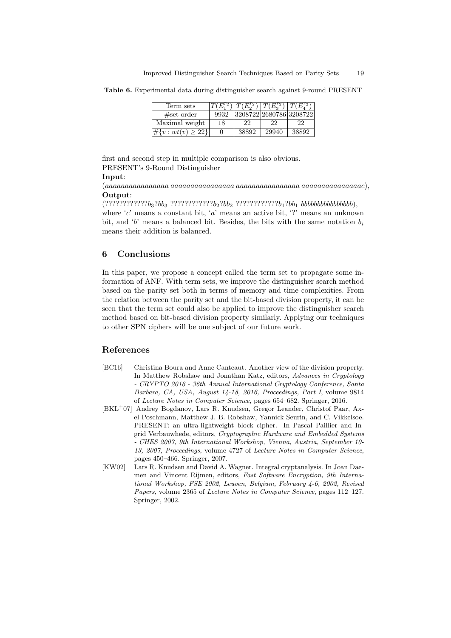**Table 6.** Experimental data during distinguisher search against 9-round PRESENT

| Term sets                 |          | $ T(E_1^{r_2}) T(E_2^{r_2}) T(E_3^{r_2}) T(E_4^{r_2})$ |       |       |
|---------------------------|----------|--------------------------------------------------------|-------|-------|
| #set order                | 9932     | 3208722 2680786 3208722                                |       |       |
| Maximal weight            | 18       | 22                                                     | 22    | 22    |
| $\#\{v: wt(v) \geq 22\}\$ | $\theta$ | 38892                                                  | 29940 | 38892 |

first and second step in multiple comparison is also obvious. PRESENT's 9-Round Distinguisher

#### **Input**:

(*aaaaaaaaaaaaaaaa aaaaaaaaaaaaaaaa aaaaaaaaaaaaaaaa aaaaaaaaaaaaaaac*), **Output**:

(????????????*b*3?*bb*<sup>3</sup> ????????????*b*2?*bb*<sup>2</sup> ????????????*b*1?*bb*<sup>1</sup> *bbbbbbbbbbbbbbbb*), where '*c*' means a constant bit, '*a*' means an active bit, '?' means an unknown bit, and '*b*' means a balanced bit. Besides, the bits with the same notation *b<sup>i</sup>* means their addition is balanced.

# **6 Conclusions**

In this paper, we propose a concept called the term set to propagate some information of ANF. With term sets, we improve the distinguisher search method based on the parity set both in terms of memory and time complexities. From the relation between the parity set and the bit-based division property, it can be seen that the term set could also be applied to improve the distinguisher search method based on bit-based division property similarly. Applying our techniques to other SPN ciphers will be one subject of our future work.

# **References**

- [BC16] Christina Boura and Anne Canteaut. Another view of the division property. In Matthew Robshaw and Jonathan Katz, editors, *Advances in Cryptology - CRYPTO 2016 - 36th Annual International Cryptology Conference, Santa Barbara, CA, USA, August 14-18, 2016, Proceedings, Part I*, volume 9814 of *Lecture Notes in Computer Science*, pages 654–682. Springer, 2016.
- [BKL<sup>+</sup>07] Andrey Bogdanov, Lars R. Knudsen, Gregor Leander, Christof Paar, Axel Poschmann, Matthew J. B. Robshaw, Yannick Seurin, and C. Vikkelsoe. PRESENT: an ultra-lightweight block cipher. In Pascal Paillier and Ingrid Verbauwhede, editors, *Cryptographic Hardware and Embedded Systems - CHES 2007, 9th International Workshop, Vienna, Austria, September 10- 13, 2007, Proceedings*, volume 4727 of *Lecture Notes in Computer Science*, pages 450–466. Springer, 2007.
- [KW02] Lars R. Knudsen and David A. Wagner. Integral cryptanalysis. In Joan Daemen and Vincent Rijmen, editors, *Fast Software Encryption, 9th International Workshop, FSE 2002, Leuven, Belgium, February 4-6, 2002, Revised Papers*, volume 2365 of *Lecture Notes in Computer Science*, pages 112–127. Springer, 2002.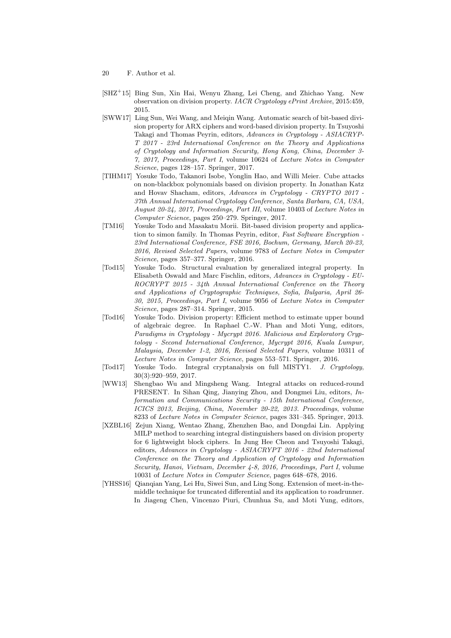- [SHZ<sup>+</sup>15] Bing Sun, Xin Hai, Wenyu Zhang, Lei Cheng, and Zhichao Yang. New observation on division property. *IACR Cryptology ePrint Archive*, 2015:459, 2015.
- [SWW17] Ling Sun, Wei Wang, and Meiqin Wang. Automatic search of bit-based division property for ARX ciphers and word-based division property. In Tsuyoshi Takagi and Thomas Peyrin, editors, *Advances in Cryptology - ASIACRYP-T 2017 - 23rd International Conference on the Theory and Applications of Cryptology and Information Security, Hong Kong, China, December 3- 7, 2017, Proceedings, Part I*, volume 10624 of *Lecture Notes in Computer Science*, pages 128–157. Springer, 2017.
- [TIHM17] Yosuke Todo, Takanori Isobe, Yonglin Hao, and Willi Meier. Cube attacks on non-blackbox polynomials based on division property. In Jonathan Katz and Hovav Shacham, editors, *Advances in Cryptology - CRYPTO 2017 - 37th Annual International Cryptology Conference, Santa Barbara, CA, USA, August 20-24, 2017, Proceedings, Part III*, volume 10403 of *Lecture Notes in Computer Science*, pages 250–279. Springer, 2017.
- [TM16] Yosuke Todo and Masakatu Morii. Bit-based division property and application to simon family. In Thomas Peyrin, editor, *Fast Software Encryption - 23rd International Conference, FSE 2016, Bochum, Germany, March 20-23, 2016, Revised Selected Papers*, volume 9783 of *Lecture Notes in Computer Science*, pages 357–377. Springer, 2016.
- [Tod15] Yosuke Todo. Structural evaluation by generalized integral property. In Elisabeth Oswald and Marc Fischlin, editors, *Advances in Cryptology - EU-ROCRYPT 2015 - 34th Annual International Conference on the Theory and Applications of Cryptographic Techniques, Sofia, Bulgaria, April 26- 30, 2015, Proceedings, Part I*, volume 9056 of *Lecture Notes in Computer Science*, pages 287–314. Springer, 2015.
- [Tod16] Yosuke Todo. Division property: Efficient method to estimate upper bound of algebraic degree. In Raphael C.-W. Phan and Moti Yung, editors, *Paradigms in Cryptology - Mycrypt 2016. Malicious and Exploratory Cryptology - Second International Conference, Mycrypt 2016, Kuala Lumpur, Malaysia, December 1-2, 2016, Revised Selected Papers*, volume 10311 of *Lecture Notes in Computer Science*, pages 553–571. Springer, 2016.
- [Tod17] Yosuke Todo. Integral cryptanalysis on full MISTY1. *J. Cryptology*, 30(3):920–959, 2017.
- [WW13] Shengbao Wu and Mingsheng Wang. Integral attacks on reduced-round PRESENT. In Sihan Qing, Jianying Zhou, and Dongmei Liu, editors, *Information and Communications Security - 15th International Conference, ICICS 2013, Beijing, China, November 20-22, 2013. Proceedings*, volume 8233 of *Lecture Notes in Computer Science*, pages 331–345. Springer, 2013.
- [XZBL16] Zejun Xiang, Wentao Zhang, Zhenzhen Bao, and Dongdai Lin. Applying MILP method to searching integral distinguishers based on division property for 6 lightweight block ciphers. In Jung Hee Cheon and Tsuyoshi Takagi, editors, *Advances in Cryptology - ASIACRYPT 2016 - 22nd International Conference on the Theory and Application of Cryptology and Information Security, Hanoi, Vietnam, December 4-8, 2016, Proceedings, Part I*, volume 10031 of *Lecture Notes in Computer Science*, pages 648–678, 2016.
- [YHSS16] Qianqian Yang, Lei Hu, Siwei Sun, and Ling Song. Extension of meet-in-themiddle technique for truncated differential and its application to roadrunner. In Jiageng Chen, Vincenzo Piuri, Chunhua Su, and Moti Yung, editors,